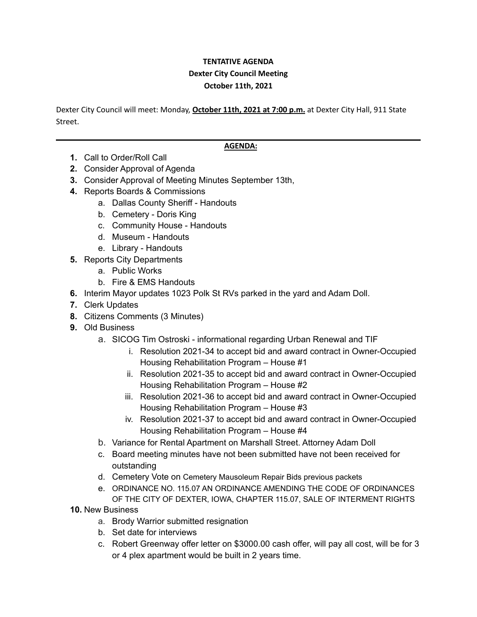## **TENTATIVE AGENDA Dexter City Council Meeting October 11th, 2021**

Dexter City Council will meet: Monday, **October 11th, 2021 at 7:00 p.m.** at Dexter City Hall, 911 State Street.

## **AGENDA:**

- **1.** Call to Order/Roll Call
- **2.** Consider Approval of Agenda
- **3.** Consider Approval of Meeting Minutes September 13th,
- **4.** Reports Boards & Commissions
	- a. Dallas County Sheriff Handouts
		- b. Cemetery Doris King
		- c. Community House Handouts
		- d. Museum Handouts
		- e. Library Handouts
- **5.** Reports City Departments
	- a. Public Works
	- b. Fire & EMS Handouts
- **6.** Interim Mayor updates 1023 Polk St RVs parked in the yard and Adam Doll.
- **7.** Clerk Updates
- **8.** Citizens Comments (3 Minutes)
- **9.** Old Business
	- a. SICOG Tim Ostroski informational regarding Urban Renewal and TIF
		- i. Resolution 2021-34 to accept bid and award contract in Owner-Occupied Housing Rehabilitation Program – House #1
		- ii. Resolution 2021-35 to accept bid and award contract in Owner-Occupied Housing Rehabilitation Program – House #2
		- iii. Resolution 2021-36 to accept bid and award contract in Owner-Occupied Housing Rehabilitation Program – House #3
		- iv. Resolution 2021-37 to accept bid and award contract in Owner-Occupied Housing Rehabilitation Program – House #4
	- b. Variance for Rental Apartment on Marshall Street. Attorney Adam Doll
	- c. Board meeting minutes have not been submitted have not been received for outstanding
	- d. Cemetery Vote on Cemetery Mausoleum Repair Bids previous packets
	- e. ORDINANCE NO. 115.07 AN ORDINANCE AMENDING THE CODE OF ORDINANCES OF THE CITY OF DEXTER, IOWA, CHAPTER 115.07, SALE OF INTERMENT RIGHTS
- **10.** New Business
	- a. Brody Warrior submitted resignation
	- b. Set date for interviews
	- c. Robert Greenway offer letter on \$3000.00 cash offer, will pay all cost, will be for 3 or 4 plex apartment would be built in 2 years time.